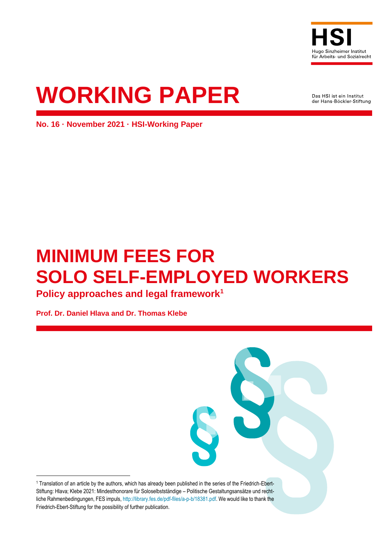

**WORKING PAPER**

Das HSI ist ein Institut der Hans-Böckler-Stiftung

**No. 16 · November 2021 · HSI-Working Paper**

# **MINIMUM FEES FOR SOLO SELF-EMPLOYED WORKERS**

**Policy approaches and legal framework<sup>1</sup>**

**Prof. Dr. Daniel Hlava and Dr. Thomas Klebe**

<sup>1</sup> Translation of an article by the authors, which has already been published in the series of the Friedrich-Ebert-Stiftung: Hlava; Klebe 2021: Mindesthonorare für Soloselbstständige – Politische Gestaltungsansätze und recht-liche Rahmenbedingungen, FES impuls[, http://library.fes.de/pdf-files/a-p-b/18381.pdf.](http://library.fes.de/pdf-files/a-p-b/18381.pdf) We would like to thank the Friedrich-Ebert-Stiftung for the possibility of further publication.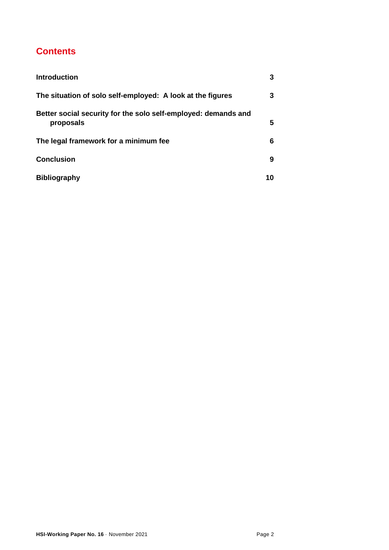# **Contents**

| <b>Introduction</b>                                                         |    |
|-----------------------------------------------------------------------------|----|
| The situation of solo self-employed: A look at the figures                  | 3  |
| Better social security for the solo self-employed: demands and<br>proposals | 5  |
| The legal framework for a minimum fee                                       | 6  |
| <b>Conclusion</b>                                                           | 9  |
| <b>Bibliography</b>                                                         | 10 |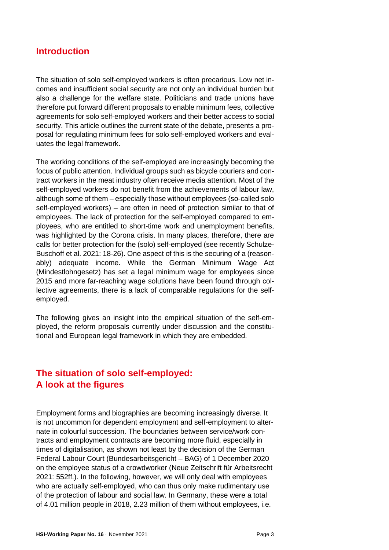#### <span id="page-2-0"></span>**Introduction**

The situation of solo self-employed workers is often precarious. Low net incomes and insufficient social security are not only an individual burden but also a challenge for the welfare state. Politicians and trade unions have therefore put forward different proposals to enable minimum fees, collective agreements for solo self-employed workers and their better access to social security. This article outlines the current state of the debate, presents a proposal for regulating minimum fees for solo self-employed workers and evaluates the legal framework.

The working conditions of the self-employed are increasingly becoming the focus of public attention. Individual groups such as bicycle couriers and contract workers in the meat industry often receive media attention. Most of the self-employed workers do not benefit from the achievements of labour law, although some of them – especially those without employees (so-called solo self-employed workers) – are often in need of protection similar to that of employees. The lack of protection for the self-employed compared to employees, who are entitled to short-time work and unemployment benefits, was highlighted by the Corona crisis. In many places, therefore, there are calls for better protection for the (solo) self-employed (see recently Schulze-Buschoff et al. 2021: 18-26). One aspect of this is the securing of a (reasonably) adequate income. While the German Minimum Wage Act (Mindestlohngesetz) has set a legal minimum wage for employees since 2015 and more far-reaching wage solutions have been found through collective agreements, there is a lack of comparable regulations for the selfemployed.

The following gives an insight into the empirical situation of the self-employed, the reform proposals currently under discussion and the constitutional and European legal framework in which they are embedded.

#### <span id="page-2-1"></span>**The situation of solo self-employed: A look at the figures**

Employment forms and biographies are becoming increasingly diverse. It is not uncommon for dependent employment and self-employment to alternate in colourful succession. The boundaries between service/work contracts and employment contracts are becoming more fluid, especially in times of digitalisation, as shown not least by the decision of the German Federal Labour Court (Bundesarbeitsgericht – BAG) of 1 December 2020 on the employee status of a crowdworker (Neue Zeitschrift für Arbeitsrecht 2021: 552ff.). In the following, however, we will only deal with employees who are actually self-employed, who can thus only make rudimentary use of the protection of labour and social law. In Germany, these were a total of 4.01 million people in 2018, 2.23 million of them without employees, i.e.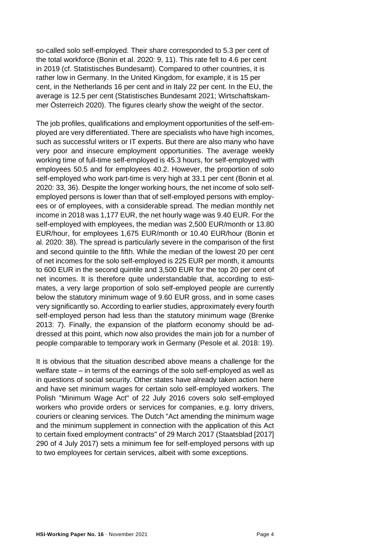so-called solo self-employed. Their share corresponded to 5.3 per cent of the total workforce (Bonin et al. 2020: 9, 11). This rate fell to 4.6 per cent in 2019 (cf. Statistisches Bundesamt). Compared to other countries, it is rather low in Germany. In the United Kingdom, for example, it is 15 per cent, in the Netherlands 16 per cent and in Italy 22 per cent. In the EU, the average is 12.5 per cent (Statistisches Bundesamt 2021; Wirtschaftskammer Österreich 2020). The figures clearly show the weight of the sector.

The job profiles, qualifications and employment opportunities of the self-employed are very differentiated. There are specialists who have high incomes, such as successful writers or IT experts. But there are also many who have very poor and insecure employment opportunities. The average weekly working time of full-time self-employed is 45.3 hours, for self-employed with employees 50.5 and for employees 40.2. However, the proportion of solo self-employed who work part-time is very high at 33.1 per cent (Bonin et al. 2020: 33, 36). Despite the longer working hours, the net income of solo selfemployed persons is lower than that of self-employed persons with employees or of employees, with a considerable spread. The median monthly net income in 2018 was 1,177 EUR, the net hourly wage was 9.40 EUR. For the self-employed with employees, the median was 2,500 EUR/month or 13.80 EUR/hour, for employees 1,675 EUR/month or 10.40 EUR/hour (Bonin et al. 2020: 38). The spread is particularly severe in the comparison of the first and second quintile to the fifth. While the median of the lowest 20 per cent of net incomes for the solo self-employed is 225 EUR per month, it amounts to 600 EUR in the second quintile and 3,500 EUR for the top 20 per cent of net incomes. It is therefore quite understandable that, according to estimates, a very large proportion of solo self-employed people are currently below the statutory minimum wage of 9.60 EUR gross, and in some cases very significantly so. According to earlier studies, approximately every fourth self-employed person had less than the statutory minimum wage (Brenke 2013: 7). Finally, the expansion of the platform economy should be addressed at this point, which now also provides the main job for a number of people comparable to temporary work in Germany (Pesole et al. 2018: 19).

It is obvious that the situation described above means a challenge for the welfare state – in terms of the earnings of the solo self-employed as well as in questions of social security. Other states have already taken action here and have set minimum wages for certain solo self-employed workers. The Polish "Minimum Wage Act" of 22 July 2016 covers solo self-employed workers who provide orders or services for companies, e.g. lorry drivers, couriers or cleaning services. The Dutch "Act amending the minimum wage and the minimum supplement in connection with the application of this Act to certain fixed employment contracts" of 29 March 2017 (Staatsblad [2017] 290 of 4 July 2017) sets a minimum fee for self-employed persons with up to two employees for certain services, albeit with some exceptions.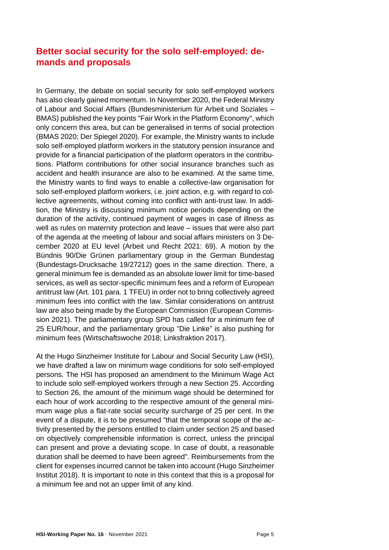## <span id="page-4-0"></span>**Better social security for the solo self-employed: demands and proposals**

In Germany, the debate on social security for solo self-employed workers has also clearly gained momentum. In November 2020, the Federal Ministry of Labour and Social Affairs (Bundesministerium für Arbeit und Soziales – BMAS) published the key points "Fair Work in the Platform Economy", which only concern this area, but can be generalised in terms of social protection (BMAS 2020; Der Spiegel 2020). For example, the Ministry wants to include solo self-employed platform workers in the statutory pension insurance and provide for a financial participation of the platform operators in the contributions. Platform contributions for other social insurance branches such as accident and health insurance are also to be examined. At the same time, the Ministry wants to find ways to enable a collective-law organisation for solo self-employed platform workers, i.e. joint action, e.g. with regard to collective agreements, without coming into conflict with anti-trust law. In addition, the Ministry is discussing minimum notice periods depending on the duration of the activity, continued payment of wages in case of illness as well as rules on maternity protection and leave – issues that were also part of the agenda at the meeting of labour and social affairs ministers on 3 December 2020 at EU level (Arbeit und Recht 2021: 69). A motion by the Bündnis 90/Die Grünen parliamentary group in the German Bundestag (Bundestags-Drucksache 19/27212) goes in the same direction. There, a general minimum fee is demanded as an absolute lower limit for time-based services, as well as sector-specific minimum fees and a reform of European antitrust law (Art. 101 para. 1 TFEU) in order not to bring collectively agreed minimum fees into conflict with the law. Similar considerations on antitrust law are also being made by the European Commission (European Commission 2021). The parliamentary group SPD has called for a minimum fee of 25 EUR/hour, and the parliamentary group "Die Linke" is also pushing for minimum fees (Wirtschaftswoche 2018; Linksfraktion 2017).

At the Hugo Sinzheimer Institute for Labour and Social Security Law (HSI), we have drafted a law on minimum wage conditions for solo self-employed persons. The HSI has proposed an amendment to the Minimum Wage Act to include solo self-employed workers through a new Section 25. According to Section 26, the amount of the minimum wage should be determined for each hour of work according to the respective amount of the general minimum wage plus a flat-rate social security surcharge of 25 per cent. In the event of a dispute, it is to be presumed "that the temporal scope of the activity presented by the persons entitled to claim under section 25 and based on objectively comprehensible information is correct, unless the principal can present and prove a deviating scope. In case of doubt, a reasonable duration shall be deemed to have been agreed". Reimbursements from the client for expenses incurred cannot be taken into account (Hugo Sinzheimer Institut 2018). It is important to note in this context that this is a proposal for a minimum fee and not an upper limit of any kind.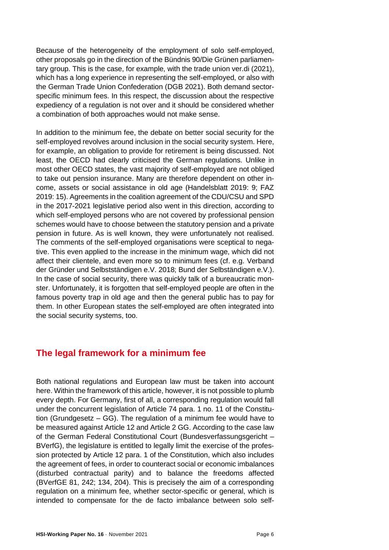Because of the heterogeneity of the employment of solo self-employed, other proposals go in the direction of the Bündnis 90/Die Grünen parliamentary group. This is the case, for example, with the trade union ver.di (2021), which has a long experience in representing the self-employed, or also with the German Trade Union Confederation (DGB 2021). Both demand sectorspecific minimum fees. In this respect, the discussion about the respective expediency of a regulation is not over and it should be considered whether a combination of both approaches would not make sense.

In addition to the minimum fee, the debate on better social security for the self-employed revolves around inclusion in the social security system. Here, for example, an obligation to provide for retirement is being discussed. Not least, the OECD had clearly criticised the German regulations. Unlike in most other OECD states, the vast majority of self-employed are not obliged to take out pension insurance. Many are therefore dependent on other income, assets or social assistance in old age (Handelsblatt 2019: 9; FAZ 2019: 15). Agreements in the coalition agreement of the CDU/CSU and SPD in the 2017-2021 legislative period also went in this direction, according to which self-employed persons who are not covered by professional pension schemes would have to choose between the statutory pension and a private pension in future. As is well known, they were unfortunately not realised. The comments of the self-employed organisations were sceptical to negative. This even applied to the increase in the minimum wage, which did not affect their clientele, and even more so to minimum fees (cf. e.g. Verband der Gründer und Selbstständigen e.V. 2018; Bund der Selbständigen e.V.). In the case of social security, there was quickly talk of a bureaucratic monster. Unfortunately, it is forgotten that self-employed people are often in the famous poverty trap in old age and then the general public has to pay for them. In other European states the self-employed are often integrated into the social security systems, too.

#### <span id="page-5-0"></span>**The legal framework for a minimum fee**

Both national regulations and European law must be taken into account here. Within the framework of this article, however, it is not possible to plumb every depth. For Germany, first of all, a corresponding regulation would fall under the concurrent legislation of Article 74 para. 1 no. 11 of the Constitution (Grundgesetz – GG). The regulation of a minimum fee would have to be measured against Article 12 and Article 2 GG. According to the case law of the German Federal Constitutional Court (Bundesverfassungsgericht – BVerfG), the legislature is entitled to legally limit the exercise of the profession protected by Article 12 para. 1 of the Constitution, which also includes the agreement of fees, in order to counteract social or economic imbalances (disturbed contractual parity) and to balance the freedoms affected (BVerfGE 81, 242; 134, 204). This is precisely the aim of a corresponding regulation on a minimum fee, whether sector-specific or general, which is intended to compensate for the de facto imbalance between solo self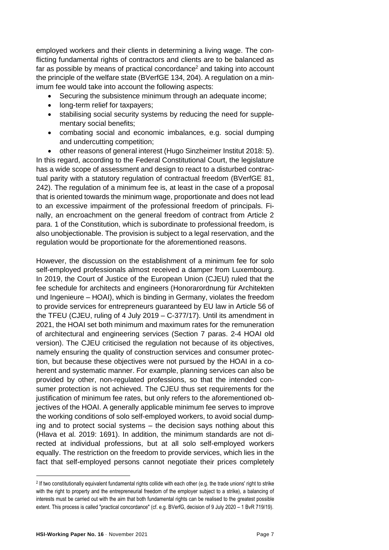employed workers and their clients in determining a living wage. The conflicting fundamental rights of contractors and clients are to be balanced as far as possible by means of practical concordance<sup>2</sup> and taking into account the principle of the welfare state (BVerfGE 134, 204). A regulation on a minimum fee would take into account the following aspects:

- Securing the subsistence minimum through an adequate income;
- long-term relief for taxpayers;
- stabilising social security systems by reducing the need for supplementary social benefits;
- combating social and economic imbalances, e.g. social dumping and undercutting competition;

• other reasons of general interest (Hugo Sinzheimer Institut 2018: 5). In this regard, according to the Federal Constitutional Court, the legislature has a wide scope of assessment and design to react to a disturbed contractual parity with a statutory regulation of contractual freedom (BVerfGE 81, 242). The regulation of a minimum fee is, at least in the case of a proposal that is oriented towards the minimum wage, proportionate and does not lead to an excessive impairment of the professional freedom of principals. Finally, an encroachment on the general freedom of contract from Article 2 para. 1 of the Constitution, which is subordinate to professional freedom, is also unobjectionable. The provision is subject to a legal reservation, and the regulation would be proportionate for the aforementioned reasons.

However, the discussion on the establishment of a minimum fee for solo self-employed professionals almost received a damper from Luxembourg. In 2019, the Court of Justice of the European Union (CJEU) ruled that the fee schedule for architects and engineers (Honorarordnung für Architekten und Ingenieure – HOAI), which is binding in Germany, violates the freedom to provide services for entrepreneurs guaranteed by EU law in Article 56 of the TFEU (CJEU, ruling of 4 July 2019 – C-377/17). Until its amendment in 2021, the HOAI set both minimum and maximum rates for the remuneration of architectural and engineering services (Section 7 paras. 2-4 HOAI old version). The CJEU criticised the regulation not because of its objectives, namely ensuring the quality of construction services and consumer protection, but because these objectives were not pursued by the HOAI in a coherent and systematic manner. For example, planning services can also be provided by other, non-regulated professions, so that the intended consumer protection is not achieved. The CJEU thus set requirements for the justification of minimum fee rates, but only refers to the aforementioned objectives of the HOAI. A generally applicable minimum fee serves to improve the working conditions of solo self-employed workers, to avoid social dumping and to protect social systems – the decision says nothing about this (Hlava et al. 2019: 1691). In addition, the minimum standards are not directed at individual professions, but at all solo self-employed workers equally. The restriction on the freedom to provide services, which lies in the fact that self-employed persons cannot negotiate their prices completely

<sup>2</sup> If two constitutionally equivalent fundamental rights collide with each other (e.g. the trade unions' right to strike with the right to property and the entrepreneurial freedom of the employer subject to a strike), a balancing of interests must be carried out with the aim that both fundamental rights can be realised to the greatest possible extent. This process is called "practical concordance" (cf. e.g. BVerfG, decision of 9 July 2020 – 1 BvR 719/19).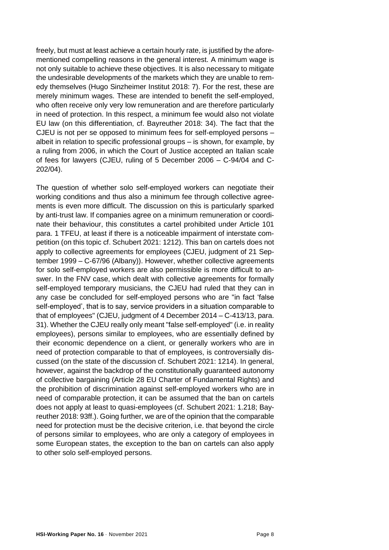freely, but must at least achieve a certain hourly rate, is justified by the aforementioned compelling reasons in the general interest. A minimum wage is not only suitable to achieve these objectives. It is also necessary to mitigate the undesirable developments of the markets which they are unable to remedy themselves (Hugo Sinzheimer Institut 2018: 7). For the rest, these are merely minimum wages. These are intended to benefit the self-employed, who often receive only very low remuneration and are therefore particularly in need of protection. In this respect, a minimum fee would also not violate EU law (on this differentiation, cf. Bayreuther 2018: 34). The fact that the CJEU is not per se opposed to minimum fees for self-employed persons – albeit in relation to specific professional groups – is shown, for example, by a ruling from 2006, in which the Court of Justice accepted an Italian scale of fees for lawyers (CJEU, ruling of 5 December 2006 – C-94/04 and C-202/04).

The question of whether solo self-employed workers can negotiate their working conditions and thus also a minimum fee through collective agreements is even more difficult. The discussion on this is particularly sparked by anti-trust law. If companies agree on a minimum remuneration or coordinate their behaviour, this constitutes a cartel prohibited under Article 101 para. 1 TFEU, at least if there is a noticeable impairment of interstate competition (on this topic cf. Schubert 2021: 1212). This ban on cartels does not apply to collective agreements for employees (CJEU, judgment of 21 September 1999 – C-67/96 (Albany)). However, whether collective agreements for solo self-employed workers are also permissible is more difficult to answer. In the FNV case, which dealt with collective agreements for formally self-employed temporary musicians, the CJEU had ruled that they can in any case be concluded for self-employed persons who are "in fact 'false self-employed', that is to say, service providers in a situation comparable to that of employees" (CJEU, judgment of 4 December 2014 – C-413/13, para. 31). Whether the CJEU really only meant "false self-employed" (i.e. in reality employees), persons similar to employees, who are essentially defined by their economic dependence on a client, or generally workers who are in need of protection comparable to that of employees, is controversially discussed (on the state of the discussion cf. Schubert 2021: 1214). In general, however, against the backdrop of the constitutionally guaranteed autonomy of collective bargaining (Article 28 EU Charter of Fundamental Rights) and the prohibition of discrimination against self-employed workers who are in need of comparable protection, it can be assumed that the ban on cartels does not apply at least to quasi-employees (cf. Schubert 2021: 1.218; Bayreuther 2018: 93ff.). Going further, we are of the opinion that the comparable need for protection must be the decisive criterion, i.e. that beyond the circle of persons similar to employees, who are only a category of employees in some European states, the exception to the ban on cartels can also apply to other solo self-employed persons.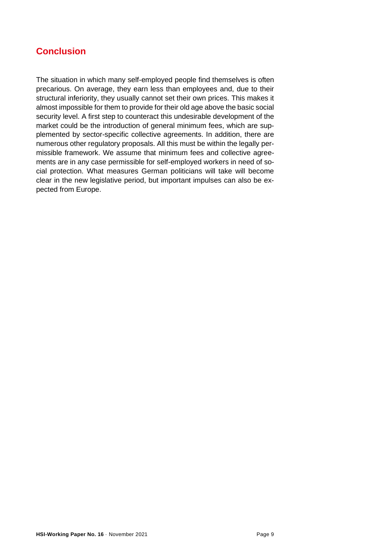## <span id="page-8-0"></span>**Conclusion**

The situation in which many self-employed people find themselves is often precarious. On average, they earn less than employees and, due to their structural inferiority, they usually cannot set their own prices. This makes it almost impossible for them to provide for their old age above the basic social security level. A first step to counteract this undesirable development of the market could be the introduction of general minimum fees, which are supplemented by sector-specific collective agreements. In addition, there are numerous other regulatory proposals. All this must be within the legally permissible framework. We assume that minimum fees and collective agreements are in any case permissible for self-employed workers in need of social protection. What measures German politicians will take will become clear in the new legislative period, but important impulses can also be expected from Europe.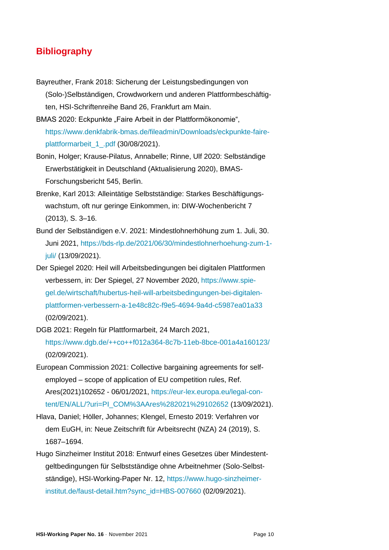#### <span id="page-9-0"></span>**Bibliography**

- Bayreuther, Frank 2018: Sicherung der Leistungsbedingungen von (Solo-)Selbständigen, Crowdworkern und anderen Plattformbeschäftigten, HSI-Schriftenreihe Band 26, Frankfurt am Main.
- BMAS 2020: Eckpunkte "Faire Arbeit in der Plattformökonomie", [https://www.denkfabrik-bmas.de/fileadmin/Downloads/eckpunkte-faire](https://www.denkfabrik-bmas.de/fileadmin/Downloads/eckpunkte-faire-plattformarbeit_1_.pdf)[plattformarbeit\\_1\\_.pdf](https://www.denkfabrik-bmas.de/fileadmin/Downloads/eckpunkte-faire-plattformarbeit_1_.pdf) (30/08/2021).
- Bonin, Holger; Krause-Pilatus, Annabelle; Rinne, Ulf 2020: Selbständige Erwerbstätigkeit in Deutschland (Aktualisierung 2020), BMAS-Forschungsbericht 545, Berlin.
- Brenke, Karl 2013: Alleintätige Selbstständige: Starkes Beschäftigungswachstum, oft nur geringe Einkommen, in: DIW-Wochenbericht 7 (2013), S. 3–16.
- Bund der Selbständigen e.V. 2021: Mindestlohnerhöhung zum 1. Juli, 30. Juni 2021, [https://bds-rlp.de/2021/06/30/mindestlohnerhoehung-zum-1](https://bds-rlp.de/2021/06/30/mindestlohnerhoehung-zum-1-juli/) [juli/](https://bds-rlp.de/2021/06/30/mindestlohnerhoehung-zum-1-juli/) (13/09/2021).
- Der Spiegel 2020: Heil will Arbeitsbedingungen bei digitalen Plattformen verbessern, in: Der Spiegel, 27 November 2020, [https://www.spie](https://www.spiegel.de/wirtschaft/hubertus-heil-will-arbeitsbedingungen-bei-digitalen-plattformen-verbessern-a-1e48c82c-f9e5-4694-9a4d-c5987ea01a33)[gel.de/wirtschaft/hubertus-heil-will-arbeitsbedingungen-bei-digitalen](https://www.spiegel.de/wirtschaft/hubertus-heil-will-arbeitsbedingungen-bei-digitalen-plattformen-verbessern-a-1e48c82c-f9e5-4694-9a4d-c5987ea01a33)[plattformen-verbessern-a-1e48c82c-f9e5-4694-9a4d-c5987ea01a33](https://www.spiegel.de/wirtschaft/hubertus-heil-will-arbeitsbedingungen-bei-digitalen-plattformen-verbessern-a-1e48c82c-f9e5-4694-9a4d-c5987ea01a33) (02/09/2021).
- DGB 2021: Regeln für Plattformarbeit, 24 March 2021, <https://www.dgb.de/++co++f012a364-8c7b-11eb-8bce-001a4a160123/> (02/09/2021).
- European Commission 2021: Collective bargaining agreements for selfemployed – scope of application of EU competition rules, Ref. Ares(2021)102652 - 06/01/2021, [https://eur-lex.europa.eu/legal-con](https://eur-lex.europa.eu/legal-content/EN/ALL/?uri=PI_COM%3AAres%282021%29102652)[tent/EN/ALL/?uri=PI\\_COM%3AAres%282021%29102652](https://eur-lex.europa.eu/legal-content/EN/ALL/?uri=PI_COM%3AAres%282021%29102652) (13/09/2021).
- Hlava, Daniel; Höller, Johannes; Klengel, Ernesto 2019: Verfahren vor dem EuGH, in: Neue Zeitschrift für Arbeitsrecht (NZA) 24 (2019), S. 1687–1694.
- Hugo Sinzheimer Institut 2018: Entwurf eines Gesetzes über Mindestentgeltbedingungen für Selbstständige ohne Arbeitnehmer (Solo-Selbstständige), HSI-Working-Paper Nr. 12, [https://www.hugo-sinzheimer](https://www.hugo-sinzheimer-institut.de/faust-detail.htm?sync_id=HBS-007660)[institut.de/faust-detail.htm?sync\\_id=HBS-007660](https://www.hugo-sinzheimer-institut.de/faust-detail.htm?sync_id=HBS-007660) (02/09/2021).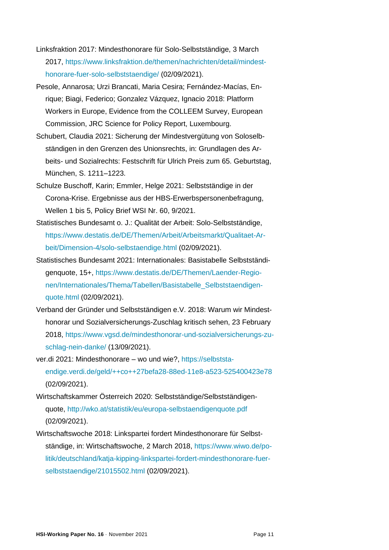- Linksfraktion 2017: Mindesthonorare für Solo-Selbstständige, 3 March 2017, [https://www.linksfraktion.de/themen/nachrichten/detail/mindest](https://www.linksfraktion.de/themen/nachrichten/detail/mindesthonorare-fuer-solo-selbststaendige/)[honorare-fuer-solo-selbststaendige/](https://www.linksfraktion.de/themen/nachrichten/detail/mindesthonorare-fuer-solo-selbststaendige/) (02/09/2021).
- Pesole, Annarosa; Urzi Brancati, Maria Cesira; Fernández-Macías, Enrique; Biagi, Federico; Gonzalez Vázquez, Ignacio 2018: Platform Workers in Europe, Evidence from the COLLEEM Survey, European Commission, JRC Science for Policy Report, Luxembourg.
- Schubert, Claudia 2021: Sicherung der Mindestvergütung von Soloselbständigen in den Grenzen des Unionsrechts, in: Grundlagen des Arbeits- und Sozialrechts: Festschrift für Ulrich Preis zum 65. Geburtstag, München, S. 1211–1223.
- Schulze Buschoff, Karin; Emmler, Helge 2021: Selbstständige in der Corona-Krise. Ergebnisse aus der HBS-Erwerbspersonenbefragung, Wellen 1 bis 5, Policy Brief WSI Nr. 60, 9/2021.
- Statistisches Bundesamt o. J.: Qualität der Arbeit: Solo-Selbstständige, [https://www.destatis.de/DE/Themen/Arbeit/Arbeitsmarkt/Qualitaet-Ar](https://www.destatis.de/DE/Themen/Arbeit/Arbeitsmarkt/Qualitaet-Arbeit/Dimension-4/solo-selbstaendige.html)[beit/Dimension-4/solo-selbstaendige.html](https://www.destatis.de/DE/Themen/Arbeit/Arbeitsmarkt/Qualitaet-Arbeit/Dimension-4/solo-selbstaendige.html) (02/09/2021).
- Statistisches Bundesamt 2021: Internationales: Basistabelle Selbstständigenquote, 15+, [https://www.destatis.de/DE/Themen/Laender-Regio](https://www.destatis.de/DE/Themen/Laender-Regionen/Internationales/Thema/Tabellen/Basistabelle_Selbststaendigenquote.html)[nen/Internationales/Thema/Tabellen/Basistabelle\\_Selbststaendigen](https://www.destatis.de/DE/Themen/Laender-Regionen/Internationales/Thema/Tabellen/Basistabelle_Selbststaendigenquote.html)[quote.html](https://www.destatis.de/DE/Themen/Laender-Regionen/Internationales/Thema/Tabellen/Basistabelle_Selbststaendigenquote.html) (02/09/2021).
- Verband der Gründer und Selbstständigen e.V. 2018: Warum wir Mindesthonorar und Sozialversicherungs-Zuschlag kritisch sehen, 23 February 2018, [https://www.vgsd.de/mindesthonorar-und-sozialversicherungs-zu](https://www.vgsd.de/mindesthonorar-und-sozialversicherungs-zuschlag-nein-danke/)[schlag-nein-danke/](https://www.vgsd.de/mindesthonorar-und-sozialversicherungs-zuschlag-nein-danke/) (13/09/2021).
- ver.di 2021: Mindesthonorare wo und wie?, [https://selbststa](https://selbststaendige.verdi.de/geld/++co++27befa28-88ed-11e8-a523-525400423e78)[endige.verdi.de/geld/++co++27befa28-88ed-11e8-a523-525400423e78](https://selbststaendige.verdi.de/geld/++co++27befa28-88ed-11e8-a523-525400423e78) (02/09/2021).
- Wirtschaftskammer Österreich 2020: Selbstständige/Selbstständigenquote,<http://wko.at/statistik/eu/europa-selbstaendigenquote.pdf> (02/09/2021).
- Wirtschaftswoche 2018: Linkspartei fordert Mindesthonorare für Selbstständige, in: Wirtschaftswoche, 2 March 2018, [https://www.wiwo.de/po](https://www.wiwo.de/politik/deutschland/katja-kipping-linkspartei-fordert-mindesthonorare-fuer-selbststaendige/21015502.html)[litik/deutschland/katja-kipping-linkspartei-fordert-mindesthonorare-fuer](https://www.wiwo.de/politik/deutschland/katja-kipping-linkspartei-fordert-mindesthonorare-fuer-selbststaendige/21015502.html)[selbststaendige/21015502.html](https://www.wiwo.de/politik/deutschland/katja-kipping-linkspartei-fordert-mindesthonorare-fuer-selbststaendige/21015502.html) (02/09/2021).